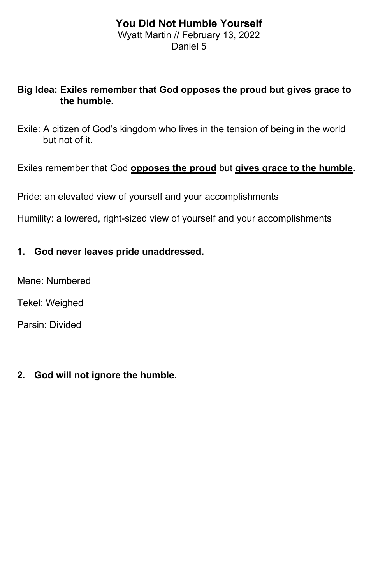### **You Did Not Humble Yourself** Wyatt Martin // February 13, 2022 Daniel 5

## **Big Idea: Exiles remember that God opposes the proud but gives grace to the humble.**

Exile: A citizen of God's kingdom who lives in the tension of being in the world but not of it.

Exiles remember that God **opposes the proud** but **gives grace to the humble**.

Pride: an elevated view of yourself and your accomplishments

Humility: a lowered, right-sized view of yourself and your accomplishments

### **1. God never leaves pride unaddressed.**

Mene: Numbered

Tekel: Weighed

Parsin: Divided

# **2. God will not ignore the humble.**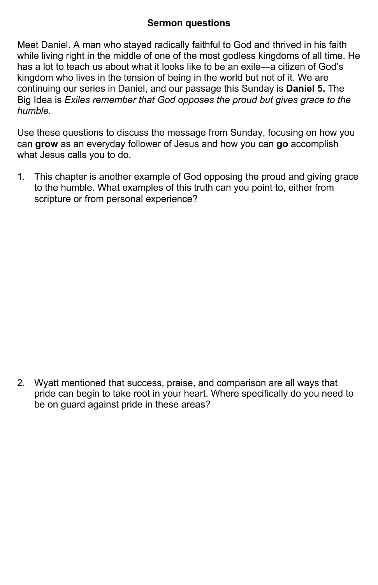### **Sermon questions**

Meet Daniel. A man who stayed radically faithful to God and thrived in his faith while living right in the middle of one of the most godless kingdoms of all time. He has a lot to teach us about what it looks like to be an exile—a citizen of God's kingdom who lives in the tension of being in the world but not of it. We are continuing our series in Daniel, and our passage this Sunday is **Daniel 5.** The Big Idea is *Exiles remember that God opposes the proud but gives grace to the humble.*

Use these questions to discuss the message from Sunday, focusing on how you can **grow** as an everyday follower of Jesus and how you can **go** accomplish what Jesus calls you to do.

1. This chapter is another example of God opposing the proud and giving grace to the humble. What examples of this truth can you point to, either from scripture or from personal experience?

2. Wyatt mentioned that success, praise, and comparison are all ways that pride can begin to take root in your heart. Where specifically do you need to be on guard against pride in these areas?